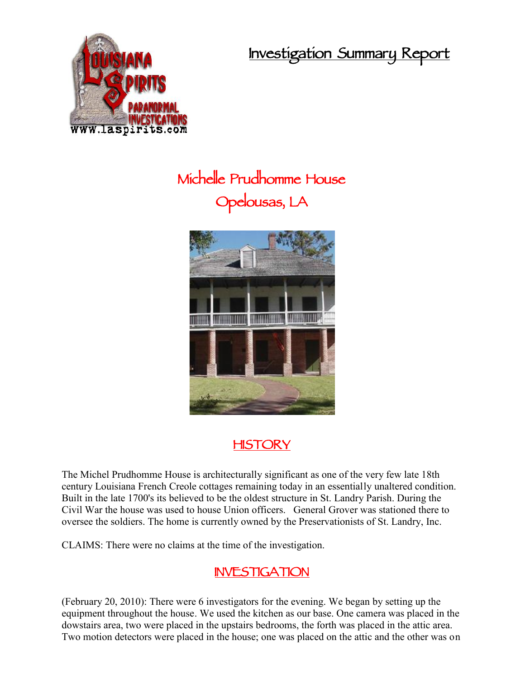**Investigation Summary Report**



## **Michelle Prudhomme House Opelousas, LA**



## **HISTORY**

The Michel Prudhomme House is architecturally significant as one of the very few late 18th century Louisiana French Creole cottages remaining today in an essentially unaltered condition. Built in the late 1700's its believed to be the oldest structure in St. Landry Parish. During the Civil War the house was used to house Union officers. General Grover was stationed there to oversee the soldiers. The home is currently owned by the Preservationists of St. Landry, Inc.

CLAIMS: There were no claims at the time of the investigation.

## **INVESTIGATION**

(February 20, 2010): There were 6 investigators for the evening. We began by setting up the equipment throughout the house. We used the kitchen as our base. One camera was placed in the dowstairs area, two were placed in the upstairs bedrooms, the forth was placed in the attic area. Two motion detectors were placed in the house; one was placed on the attic and the other was on